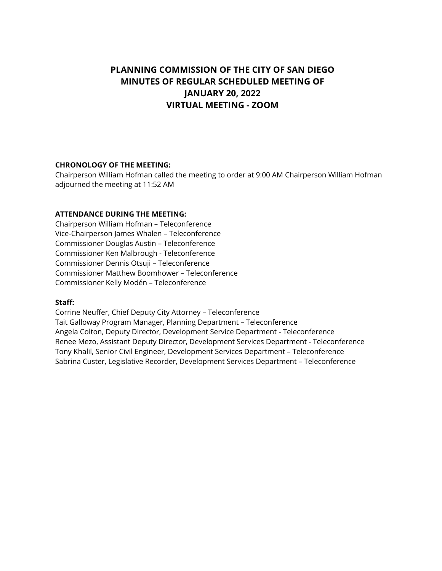# **PLANNING COMMISSION OF THE CITY OF SAN DIEGO MINUTES OF REGULAR SCHEDULED MEETING OF JANUARY 20, 2022 VIRTUAL MEETING - ZOOM**

#### **CHRONOLOGY OF THE MEETING:**

Chairperson William Hofman called the meeting to order at 9:00 AM Chairperson William Hofman adjourned the meeting at 11:52 AM

# **ATTENDANCE DURING THE MEETING:**

Chairperson William Hofman – Teleconference Vice-Chairperson James Whalen – Teleconference Commissioner Douglas Austin – Teleconference Commissioner Ken Malbrough - Teleconference Commissioner Dennis Otsuji – Teleconference Commissioner Matthew Boomhower – Teleconference Commissioner Kelly Modén – Teleconference

#### **Staff:**

Corrine Neuffer, Chief Deputy City Attorney – Teleconference Tait Galloway Program Manager, Planning Department – Teleconference Angela Colton, Deputy Director, Development Service Department - Teleconference Renee Mezo, Assistant Deputy Director, Development Services Department - Teleconference Tony Khalil, Senior Civil Engineer, Development Services Department – Teleconference Sabrina Custer, Legislative Recorder, Development Services Department – Teleconference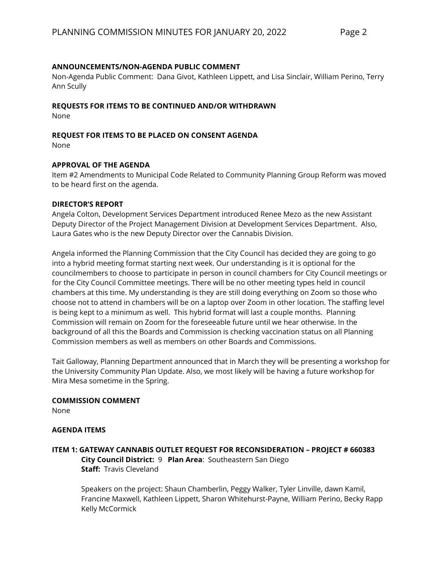### **ANNOUNCEMENTS/NON-AGENDA PUBLIC COMMENT**

Non-Agenda Public Comment: Dana Givot, Kathleen Lippett, and Lisa Sinclair, William Perino, Terry Ann Scully

### **REQUESTS FOR ITEMS TO BE CONTINUED AND/OR WITHDRAWN**

None

# **REQUEST FOR ITEMS TO BE PLACED ON CONSENT AGENDA**

None

### **APPROVAL OF THE AGENDA**

Item #2 Amendments to Municipal Code Related to Community Planning Group Reform was moved to be heard first on the agenda.

#### **DIRECTOR'S REPORT**

Angela Colton, Development Services Department introduced Renee Mezo as the new Assistant Deputy Director of the Project Management Division at Development Services Department. Also, Laura Gates who is the new Deputy Director over the Cannabis Division.

Angela informed the Planning Commission that the City Council has decided they are going to go into a hybrid meeting format starting next week. Our understanding is it is optional for the councilmembers to choose to participate in person in council chambers for City Council meetings or for the City Council Committee meetings. There will be no other meeting types held in council chambers at this time. My understanding is they are still doing everything on Zoom so those who choose not to attend in chambers will be on a laptop over Zoom in other location. The staffing level is being kept to a minimum as well. This hybrid format will last a couple months. Planning Commission will remain on Zoom for the foreseeable future until we hear otherwise. In the background of all this the Boards and Commission is checking vaccination status on all Planning Commission members as well as members on other Boards and Commissions.

Tait Galloway, Planning Department announced that in March they will be presenting a workshop for the University Community Plan Update. Also, we most likely will be having a future workshop for Mira Mesa sometime in the Spring.

#### **COMMISSION COMMENT**

None

#### **AGENDA ITEMS**

# **ITEM 1: GATEWAY CANNABIS OUTLET REQUEST FOR RECONSIDERATION – PROJECT # 660383 City Council District:** 9 **Plan Area**: Southeastern San Diego **Staff:** Travis Cleveland

Speakers on the project: Shaun Chamberlin, Peggy Walker, Tyler Linville, dawn Kamil, Francine Maxwell, Kathleen Lippett, Sharon Whitehurst-Payne, William Perino, Becky Rapp Kelly McCormick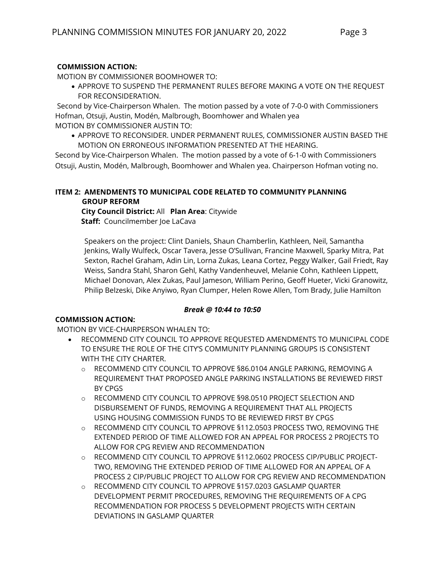# **COMMISSION ACTION:**

MOTION BY COMMISSIONER BOOMHOWER TO:

• APPROVE TO SUSPEND THE PERMANENT RULES BEFORE MAKING A VOTE ON THE REQUEST FOR RECONSIDERATION.

Second by Vice-Chairperson Whalen. The motion passed by a vote of 7-0-0 with Commissioners Hofman, Otsuji, Austin, Modén, Malbrough, Boomhower and Whalen yea MOTION BY COMMISSIONER AUSTIN TO:

• APPROVE TO RECONSIDER. UNDER PERMANENT RULES, COMMISSIONER AUSTIN BASED THE MOTION ON ERRONEOUS INFORMATION PRESENTED AT THE HEARING.

Second by Vice-Chairperson Whalen. The motion passed by a vote of 6-1-0 with Commissioners Otsuji, Austin, Modén, Malbrough, Boomhower and Whalen yea. Chairperson Hofman voting no.

# **ITEM 2: AMENDMENTS TO MUNICIPAL CODE RELATED TO COMMUNITY PLANNING GROUP REFORM**

 **City Council District:** All **Plan Area**: Citywide **Staff:** Councilmember Joe LaCava

Speakers on the project: Clint Daniels, Shaun Chamberlin, Kathleen, Neil, Samantha Jenkins, Wally Wulfeck, Oscar Tavera, Jesse O'Sullivan, Francine Maxwell, Sparky Mitra, Pat Sexton, Rachel Graham, Adin Lin, Lorna Zukas, Leana Cortez, Peggy Walker, Gail Friedt, Ray Weiss, Sandra Stahl, Sharon Gehl, Kathy Vandenheuvel, Melanie Cohn, Kathleen Lippett, Michael Donovan, Alex Zukas, Paul Jameson, William Perino, Geoff Hueter, Vicki Granowitz, Philip Belzeski, Dike Anyiwo, Ryan Clumper, Helen Rowe Allen, Tom Brady, Julie Hamilton

#### *Break @ 10:44 to 10:50*

# **COMMISSION ACTION:**

MOTION BY VICE-CHAIRPERSON WHALEN TO:

- RECOMMEND CITY COUNCIL TO APPROVE REQUESTED AMENDMENTS TO MUNICIPAL CODE TO ENSURE THE ROLE OF THE CITY'S COMMUNITY PLANNING GROUPS IS CONSISTENT WITH THE CITY CHARTER.
	- o RECOMMEND CITY COUNCIL TO APPROVE §86.0104 ANGLE PARKING, REMOVING A REQUIREMENT THAT PROPOSED ANGLE PARKING INSTALLATIONS BE REVIEWED FIRST BY CPGS
	- o RECOMMEND CITY COUNCIL TO APPROVE §98.0510 PROJECT SELECTION AND DISBURSEMENT OF FUNDS, REMOVING A REQUIREMENT THAT ALL PROJECTS USING HOUSING COMMISSION FUNDS TO BE REVIEWED FIRST BY CPGS
	- o RECOMMEND CITY COUNCIL TO APPROVE §112.0503 PROCESS TWO, REMOVING THE EXTENDED PERIOD OF TIME ALLOWED FOR AN APPEAL FOR PROCESS 2 PROJECTS TO ALLOW FOR CPG REVIEW AND RECOMMENDATION
	- o RECOMMEND CITY COUNCIL TO APPROVE §112.0602 PROCESS CIP/PUBLIC PROJECT-TWO, REMOVING THE EXTENDED PERIOD OF TIME ALLOWED FOR AN APPEAL OF A PROCESS 2 CIP/PUBLIC PROJECT TO ALLOW FOR CPG REVIEW AND RECOMMENDATION
	- RECOMMEND CITY COUNCIL TO APPROVE §157.0203 GASLAMP QUARTER DEVELOPMENT PERMIT PROCEDURES, REMOVING THE REQUIREMENTS OF A CPG RECOMMENDATION FOR PROCESS 5 DEVELOPMENT PROJECTS WITH CERTAIN DEVIATIONS IN GASLAMP QUARTER